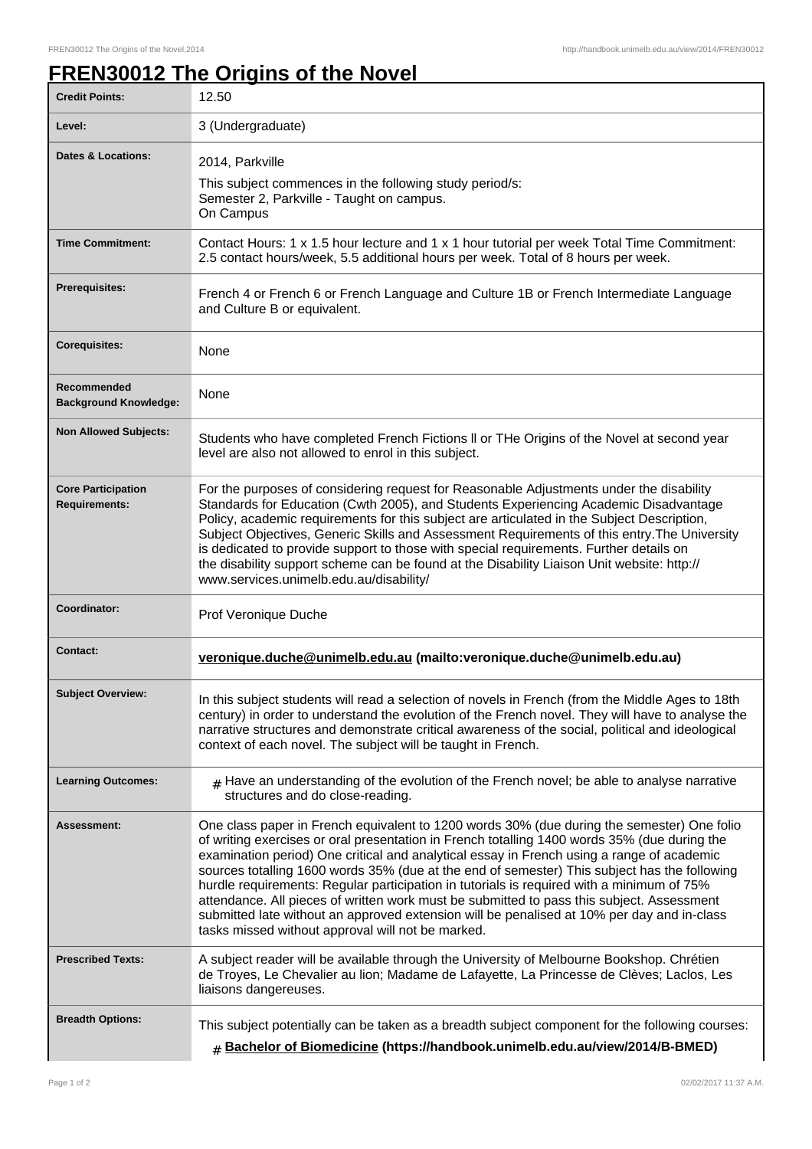## **FREN30012 The Origins of the Novel**

| <b>Credit Points:</b>                             | 12.50                                                                                                                                                                                                                                                                                                                                                                                                                                                                                                                                                                                                                                                                                                                                |
|---------------------------------------------------|--------------------------------------------------------------------------------------------------------------------------------------------------------------------------------------------------------------------------------------------------------------------------------------------------------------------------------------------------------------------------------------------------------------------------------------------------------------------------------------------------------------------------------------------------------------------------------------------------------------------------------------------------------------------------------------------------------------------------------------|
| Level:                                            | 3 (Undergraduate)                                                                                                                                                                                                                                                                                                                                                                                                                                                                                                                                                                                                                                                                                                                    |
| <b>Dates &amp; Locations:</b>                     | 2014, Parkville<br>This subject commences in the following study period/s:<br>Semester 2, Parkville - Taught on campus.<br>On Campus                                                                                                                                                                                                                                                                                                                                                                                                                                                                                                                                                                                                 |
| <b>Time Commitment:</b>                           | Contact Hours: 1 x 1.5 hour lecture and 1 x 1 hour tutorial per week Total Time Commitment:<br>2.5 contact hours/week, 5.5 additional hours per week. Total of 8 hours per week.                                                                                                                                                                                                                                                                                                                                                                                                                                                                                                                                                     |
| <b>Prerequisites:</b>                             | French 4 or French 6 or French Language and Culture 1B or French Intermediate Language<br>and Culture B or equivalent.                                                                                                                                                                                                                                                                                                                                                                                                                                                                                                                                                                                                               |
| <b>Corequisites:</b>                              | None                                                                                                                                                                                                                                                                                                                                                                                                                                                                                                                                                                                                                                                                                                                                 |
| Recommended<br><b>Background Knowledge:</b>       | None                                                                                                                                                                                                                                                                                                                                                                                                                                                                                                                                                                                                                                                                                                                                 |
| <b>Non Allowed Subjects:</b>                      | Students who have completed French Fictions II or THe Origins of the Novel at second year<br>level are also not allowed to enrol in this subject.                                                                                                                                                                                                                                                                                                                                                                                                                                                                                                                                                                                    |
| <b>Core Participation</b><br><b>Requirements:</b> | For the purposes of considering request for Reasonable Adjustments under the disability<br>Standards for Education (Cwth 2005), and Students Experiencing Academic Disadvantage<br>Policy, academic requirements for this subject are articulated in the Subject Description,<br>Subject Objectives, Generic Skills and Assessment Requirements of this entry. The University<br>is dedicated to provide support to those with special requirements. Further details on<br>the disability support scheme can be found at the Disability Liaison Unit website: http://<br>www.services.unimelb.edu.au/disability/                                                                                                                     |
| Coordinator:                                      | Prof Veronique Duche                                                                                                                                                                                                                                                                                                                                                                                                                                                                                                                                                                                                                                                                                                                 |
| <b>Contact:</b>                                   | veronique.duche@unimelb.edu.au (mailto:veronique.duche@unimelb.edu.au)                                                                                                                                                                                                                                                                                                                                                                                                                                                                                                                                                                                                                                                               |
| <b>Subject Overview:</b>                          | In this subject students will read a selection of novels in French (from the Middle Ages to 18th<br>century) in order to understand the evolution of the French novel. They will have to analyse the<br>narrative structures and demonstrate critical awareness of the social, political and ideological<br>context of each novel. The subject will be taught in French.                                                                                                                                                                                                                                                                                                                                                             |
| <b>Learning Outcomes:</b>                         | $#$ Have an understanding of the evolution of the French novel; be able to analyse narrative<br>structures and do close-reading.                                                                                                                                                                                                                                                                                                                                                                                                                                                                                                                                                                                                     |
| Assessment:                                       | One class paper in French equivalent to 1200 words 30% (due during the semester) One folio<br>of writing exercises or oral presentation in French totalling 1400 words 35% (due during the<br>examination period) One critical and analytical essay in French using a range of academic<br>sources totalling 1600 words 35% (due at the end of semester) This subject has the following<br>hurdle requirements: Regular participation in tutorials is required with a minimum of 75%<br>attendance. All pieces of written work must be submitted to pass this subject. Assessment<br>submitted late without an approved extension will be penalised at 10% per day and in-class<br>tasks missed without approval will not be marked. |
| <b>Prescribed Texts:</b>                          | A subject reader will be available through the University of Melbourne Bookshop. Chrétien<br>de Troyes, Le Chevalier au lion; Madame de Lafayette, La Princesse de Clèves; Laclos, Les<br>liaisons dangereuses.                                                                                                                                                                                                                                                                                                                                                                                                                                                                                                                      |
| <b>Breadth Options:</b>                           | This subject potentially can be taken as a breadth subject component for the following courses:<br><b># Bachelor of Biomedicine (https://handbook.unimelb.edu.au/view/2014/B-BMED)</b>                                                                                                                                                                                                                                                                                                                                                                                                                                                                                                                                               |